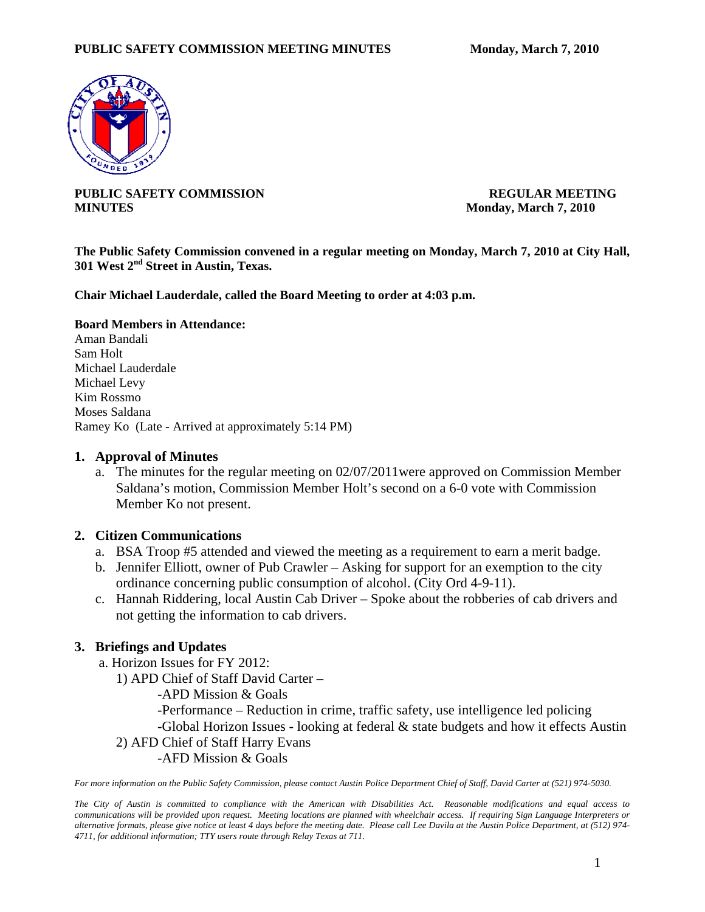

**PUBLIC SAFETY COMMISSION REGULAR MEETING MINUTES** Monday, March 7, 2010

**The Public Safety Commission convened in a regular meeting on Monday, March 7, 2010 at City Hall, 301 West 2nd Street in Austin, Texas.** 

**Chair Michael Lauderdale, called the Board Meeting to order at 4:03 p.m.** 

#### **Board Members in Attendance:**

Aman Bandali Sam Holt Michael Lauderdale Michael Levy Kim Rossmo Moses Saldana Ramey Ko (Late - Arrived at approximately 5:14 PM)

### **1. Approval of Minutes**

a. The minutes for the regular meeting on 02/07/2011were approved on Commission Member Saldana's motion, Commission Member Holt's second on a 6-0 vote with Commission Member Ko not present.

### **2. Citizen Communications**

- a. BSA Troop #5 attended and viewed the meeting as a requirement to earn a merit badge.
- b. Jennifer Elliott, owner of Pub Crawler Asking for support for an exemption to the city ordinance concerning public consumption of alcohol. (City Ord 4-9-11).
- c. Hannah Riddering, local Austin Cab Driver Spoke about the robberies of cab drivers and not getting the information to cab drivers.

# **3. Briefings and Updates**

a. Horizon Issues for FY 2012:

1) APD Chief of Staff David Carter –

- -APD Mission & Goals
- -Performance Reduction in crime, traffic safety, use intelligence led policing

-Global Horizon Issues - looking at federal & state budgets and how it effects Austin

- 2) AFD Chief of Staff Harry Evans
	- -AFD Mission & Goals

*For more information on the Public Safety Commission, please contact Austin Police Department Chief of Staff, David Carter at (521) 974-5030.* 

*The City of Austin is committed to compliance with the American with Disabilities Act. Reasonable modifications and equal access to communications will be provided upon request. Meeting locations are planned with wheelchair access. If requiring Sign Language Interpreters or alternative formats, please give notice at least 4 days before the meeting date. Please call Lee Davila at the Austin Police Department, at (512) 974- 4711, for additional information; TTY users route through Relay Texas at 711.*